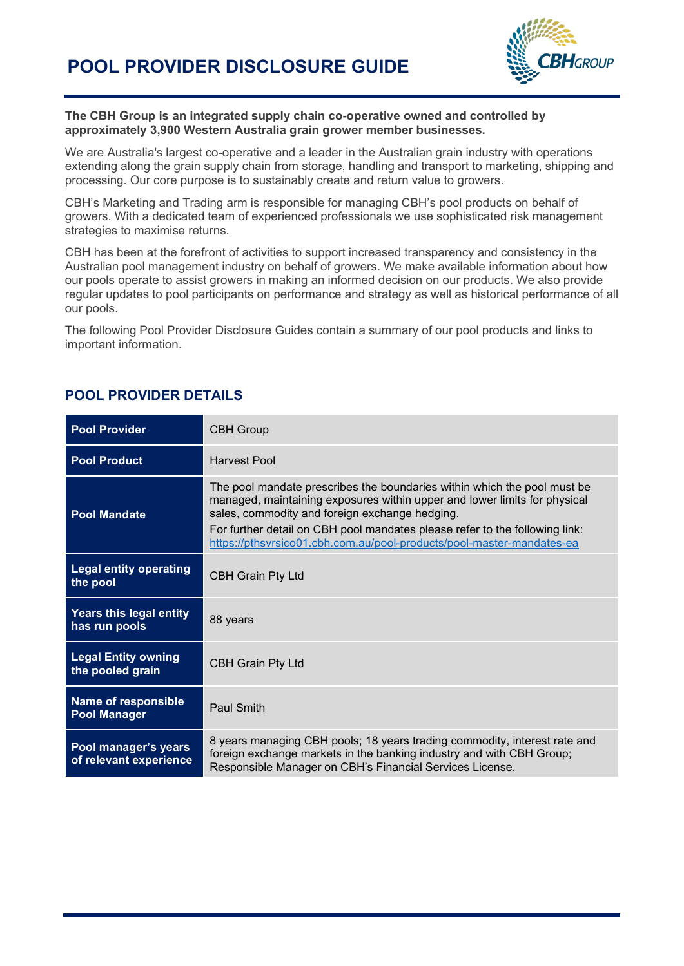

#### **The CBH Group is an integrated supply chain co-operative owned and controlled by approximately 3,900 Western Australia grain grower member businesses.**

We are Australia's largest co-operative and a leader in the Australian grain industry with operations extending along the grain supply chain from storage, handling and transport to marketing, shipping and processing. Our core purpose is to sustainably create and return value to growers.

CBH's Marketing and Trading arm is responsible for managing CBH's pool products on behalf of growers. With a dedicated team of experienced professionals we use sophisticated risk management strategies to maximise returns.

CBH has been at the forefront of activities to support increased transparency and consistency in the Australian pool management industry on behalf of growers. We make available information about how our pools operate to assist growers in making an informed decision on our products. We also provide regular updates to pool participants on performance and strategy as well as historical performance of all our pools.

The following Pool Provider Disclosure Guides contain a summary of our pool products and links to important information.

| <b>Pool Provider</b>                              | <b>CBH Group</b>                                                                                                                                                                                                                                                                                                                                                |
|---------------------------------------------------|-----------------------------------------------------------------------------------------------------------------------------------------------------------------------------------------------------------------------------------------------------------------------------------------------------------------------------------------------------------------|
| <b>Pool Product</b>                               | Harvest Pool                                                                                                                                                                                                                                                                                                                                                    |
| <b>Pool Mandate</b>                               | The pool mandate prescribes the boundaries within which the pool must be<br>managed, maintaining exposures within upper and lower limits for physical<br>sales, commodity and foreign exchange hedging.<br>For further detail on CBH pool mandates please refer to the following link:<br>https://pthsvrsico01.cbh.com.au/pool-products/pool-master-mandates-ea |
| <b>Legal entity operating</b><br>the pool         | <b>CBH Grain Pty Ltd</b>                                                                                                                                                                                                                                                                                                                                        |
| Years this legal entity<br>has run pools          | 88 years                                                                                                                                                                                                                                                                                                                                                        |
| <b>Legal Entity owning</b><br>the pooled grain    | <b>CBH Grain Pty Ltd</b>                                                                                                                                                                                                                                                                                                                                        |
| <b>Name of responsible</b><br><b>Pool Manager</b> | Paul Smith                                                                                                                                                                                                                                                                                                                                                      |
| Pool manager's years<br>of relevant experience    | 8 years managing CBH pools; 18 years trading commodity, interest rate and<br>foreign exchange markets in the banking industry and with CBH Group;<br>Responsible Manager on CBH's Financial Services License.                                                                                                                                                   |

### **POOL PROVIDER DETAILS**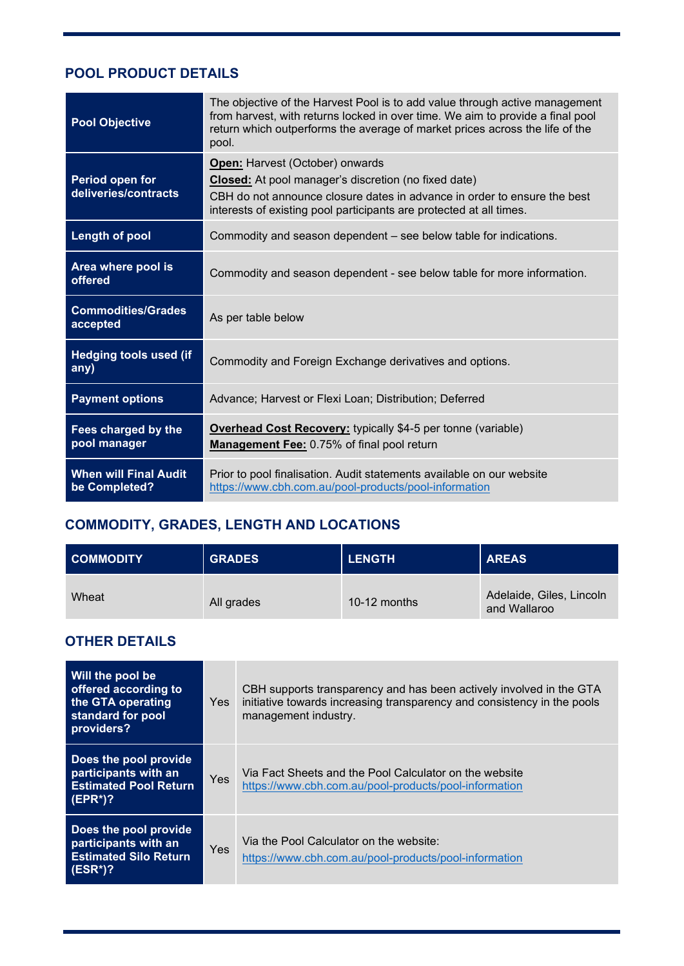## **POOL PRODUCT DETAILS**

| <b>Pool Objective</b>                         | The objective of the Harvest Pool is to add value through active management<br>from harvest, with returns locked in over time. We aim to provide a final pool<br>return which outperforms the average of market prices across the life of the<br>pool.   |
|-----------------------------------------------|----------------------------------------------------------------------------------------------------------------------------------------------------------------------------------------------------------------------------------------------------------|
| Period open for<br>deliveries/contracts       | <b>Open: Harvest (October) onwards</b><br><b>Closed:</b> At pool manager's discretion (no fixed date)<br>CBH do not announce closure dates in advance in order to ensure the best<br>interests of existing pool participants are protected at all times. |
| <b>Length of pool</b>                         | Commodity and season dependent – see below table for indications.                                                                                                                                                                                        |
| Area where pool is<br>offered                 | Commodity and season dependent - see below table for more information.                                                                                                                                                                                   |
| <b>Commodities/Grades</b><br>accepted         | As per table below                                                                                                                                                                                                                                       |
| <b>Hedging tools used (if</b><br>any)         | Commodity and Foreign Exchange derivatives and options.                                                                                                                                                                                                  |
| <b>Payment options</b>                        | Advance; Harvest or Flexi Loan; Distribution; Deferred                                                                                                                                                                                                   |
| Fees charged by the<br>pool manager           | <b>Overhead Cost Recovery:</b> typically \$4-5 per tonne (variable)<br>Management Fee: 0.75% of final pool return                                                                                                                                        |
| <b>When will Final Audit</b><br>be Completed? | Prior to pool finalisation. Audit statements available on our website<br>https://www.cbh.com.au/pool-products/pool-information                                                                                                                           |

# **COMMODITY, GRADES, LENGTH AND LOCATIONS**

| <b>COMMODITY</b> | <b>GRADES</b> | <b>LENGTH</b> | <b>AREAS</b>                             |
|------------------|---------------|---------------|------------------------------------------|
| Wheat            | All grades    | 10-12 months  | Adelaide, Giles, Lincoln<br>and Wallaroo |

## **OTHER DETAILS**

| Will the pool be<br>offered according to<br>the GTA operating<br>standard for pool<br>providers? | Yes        | CBH supports transparency and has been actively involved in the GTA<br>initiative towards increasing transparency and consistency in the pools<br>management industry. |
|--------------------------------------------------------------------------------------------------|------------|------------------------------------------------------------------------------------------------------------------------------------------------------------------------|
| Does the pool provide<br>participants with an<br><b>Estimated Pool Return</b><br>$E$ (EPR*)?     | <b>Yes</b> | Via Fact Sheets and the Pool Calculator on the website<br>https://www.cbh.com.au/pool-products/pool-information                                                        |
| Does the pool provide<br>participants with an<br><b>Estimated Silo Return</b><br>$(ESR^*)$ ?     | Yes        | Via the Pool Calculator on the website:<br>https://www.cbh.com.au/pool-products/pool-information                                                                       |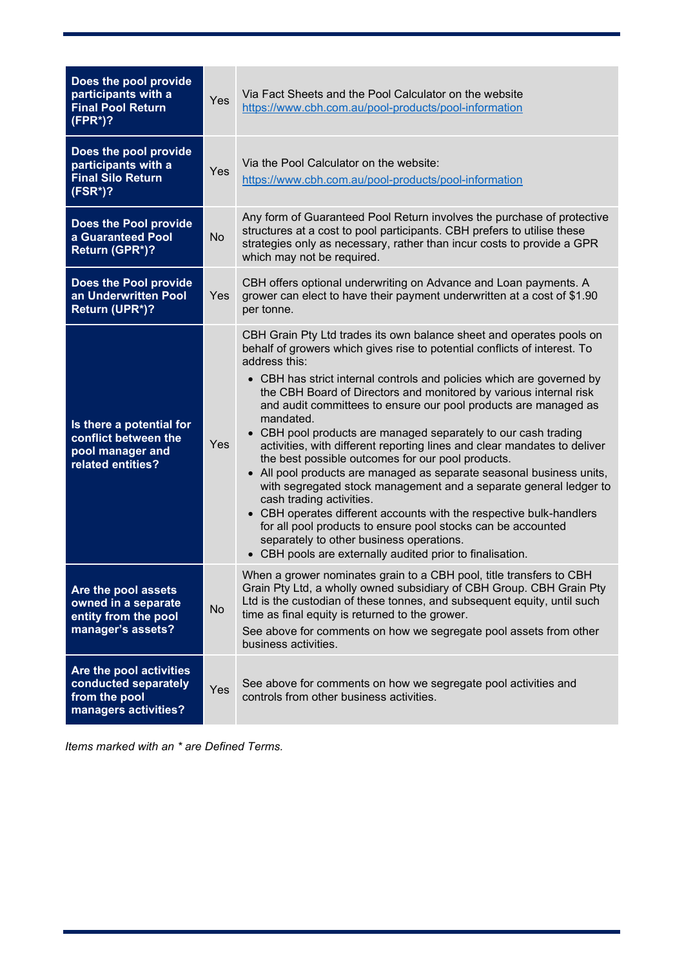| Does the pool provide<br>participants with a<br><b>Final Pool Return</b><br>$(FPR^*)$ ?   | Yes        | Via Fact Sheets and the Pool Calculator on the website<br>https://www.cbh.com.au/pool-products/pool-information                                                                                                                                                                                                                                                                                                                                                                                                                                                                                                                                                                                                                                                                                                                                                                                                                                                                                                              |
|-------------------------------------------------------------------------------------------|------------|------------------------------------------------------------------------------------------------------------------------------------------------------------------------------------------------------------------------------------------------------------------------------------------------------------------------------------------------------------------------------------------------------------------------------------------------------------------------------------------------------------------------------------------------------------------------------------------------------------------------------------------------------------------------------------------------------------------------------------------------------------------------------------------------------------------------------------------------------------------------------------------------------------------------------------------------------------------------------------------------------------------------------|
| Does the pool provide<br>participants with a<br><b>Final Silo Return</b><br>$(FSR^*)$ ?   | Yes        | Via the Pool Calculator on the website:<br>https://www.cbh.com.au/pool-products/pool-information                                                                                                                                                                                                                                                                                                                                                                                                                                                                                                                                                                                                                                                                                                                                                                                                                                                                                                                             |
| Does the Pool provide<br>a Guaranteed Pool<br>Return (GPR*)?                              | No         | Any form of Guaranteed Pool Return involves the purchase of protective<br>structures at a cost to pool participants. CBH prefers to utilise these<br>strategies only as necessary, rather than incur costs to provide a GPR<br>which may not be required.                                                                                                                                                                                                                                                                                                                                                                                                                                                                                                                                                                                                                                                                                                                                                                    |
| Does the Pool provide<br>an Underwritten Pool<br>Return (UPR*)?                           | <b>Yes</b> | CBH offers optional underwriting on Advance and Loan payments. A<br>grower can elect to have their payment underwritten at a cost of \$1.90<br>per tonne.                                                                                                                                                                                                                                                                                                                                                                                                                                                                                                                                                                                                                                                                                                                                                                                                                                                                    |
| Is there a potential for<br>conflict between the<br>pool manager and<br>related entities? | Yes        | CBH Grain Pty Ltd trades its own balance sheet and operates pools on<br>behalf of growers which gives rise to potential conflicts of interest. To<br>address this:<br>• CBH has strict internal controls and policies which are governed by<br>the CBH Board of Directors and monitored by various internal risk<br>and audit committees to ensure our pool products are managed as<br>mandated.<br>• CBH pool products are managed separately to our cash trading<br>activities, with different reporting lines and clear mandates to deliver<br>the best possible outcomes for our pool products.<br>• All pool products are managed as separate seasonal business units,<br>with segregated stock management and a separate general ledger to<br>cash trading activities.<br>• CBH operates different accounts with the respective bulk-handlers<br>for all pool products to ensure pool stocks can be accounted<br>separately to other business operations.<br>• CBH pools are externally audited prior to finalisation. |
| Are the pool assets<br>owned in a separate<br>entity from the pool<br>manager's assets?   | No         | When a grower nominates grain to a CBH pool, title transfers to CBH<br>Grain Pty Ltd, a wholly owned subsidiary of CBH Group. CBH Grain Pty<br>Ltd is the custodian of these tonnes, and subsequent equity, until such<br>time as final equity is returned to the grower.<br>See above for comments on how we segregate pool assets from other<br>business activities.                                                                                                                                                                                                                                                                                                                                                                                                                                                                                                                                                                                                                                                       |
| Are the pool activities<br>conducted separately<br>from the pool<br>managers activities?  | Yes        | See above for comments on how we segregate pool activities and<br>controls from other business activities.                                                                                                                                                                                                                                                                                                                                                                                                                                                                                                                                                                                                                                                                                                                                                                                                                                                                                                                   |

*Items marked with an \* are Defined Terms.*